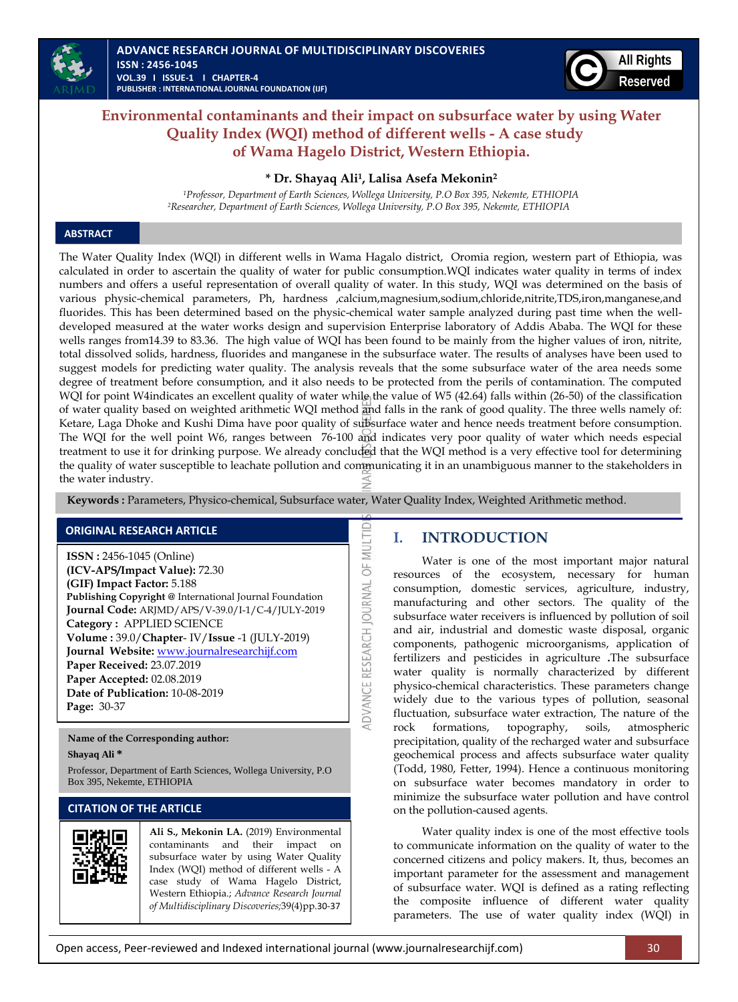



# **Environmental contaminants and their impact on subsurface water by using Water Quality Index (WQI) method of different wells - A case study of Wama Hagelo District, Western Ethiopia.**

## **\* Dr. Shayaq Ali<sup>1</sup> , Lalisa Asefa Mekonin<sup>2</sup>**

*<sup>1</sup>Professor, Department of Earth Sciences, Wollega University, P.O Box 395, Nekemte, ETHIOPIA <sup>2</sup>Researcher, Department of Earth Sciences, Wollega University, P.O Box 395, Nekemte, ETHIOPIA*

## **ABSTRACT**

The Water Quality Index (WQI) in different wells in Wama Hagalo district, Oromia region, western part of Ethiopia, was calculated in order to ascertain the quality of water for public consumption.WQI indicates water quality in terms of index numbers and offers a useful representation of overall quality of water. In this study, WQI was determined on the basis of various physic-chemical parameters, Ph, hardness ,calcium,magnesium,sodium,chloride,nitrite,TDS,iron,manganese,and fluorides. This has been determined based on the physic-chemical water sample analyzed during past time when the welldeveloped measured at the water works design and supervision Enterprise laboratory of Addis Ababa. The WQI for these wells ranges from14.39 to 83.36. The high value of WQI has been found to be mainly from the higher values of iron, nitrite, total dissolved solids, hardness, fluorides and manganese in the subsurface water. The results of analyses have been used to suggest models for predicting water quality. The analysis reveals that the some subsurface water of the area needs some degree of treatment before consumption, and it also needs to be protected from the perils of contamination. The computed WQI for point W4indicates an excellent quality of water while the value of W5 (42.64) falls within (26-50) of the classification of water quality based on weighted arithmetic WQI method and falls in the rank of good quality. The three wells namely of: Ketare, Laga Dhoke and Kushi Dima have poor quality of subsurface water and hence needs treatment before consumption. The WQI for the well point W6, ranges between 76-100 and indicates very poor quality of water which needs especial treatment to use it for drinking purpose. We already concluded that the WQI method is a very effective tool for determining the quality of water susceptible to leachate pollution and communicating it in an unambiguous manner to the stakeholders in the water industry.

 **Keywords :** Parameters, Physico-chemical, Subsurface water, Water Quality Index, Weighted Arithmetic method.

MULTID

**ADVANCE RESEARCH JOURNAL OF** 

## **ORIGINAL RESEARCH ARTICLE**

**ISSN :** 2456-1045 (Online) **(ICV-APS/Impact Value):** 72.30 **(GIF) Impact Factor:** 5.188 **Publishing Copyright @** International Journal Foundation **Journal Code:** ARJMD/APS/V-39.0/I-1/C-4/JULY-2019 **Category :** APPLIED SCIENCE **Volume :** 39.0/**Chapter**- IV/**Issue** -1 (JULY-2019) **Journal Website:** [www.journalresearchijf.com](http://www.journalresearchijf.com/) **Paper Received:** 23.07.2019 **Paper Accepted:** 02.08.2019 **Date of Publication:** 10-08-2019 **Page:** 30-37

#### **Name of the Corresponding author:**

**Shayaq Ali \***

Professor, Department of Earth Sciences, Wollega University, P.O Box 395, Nekemte, ETHIOPIA

## **CITATION OF THE ARTICLE**



**Ali S., Mekonin LA.** (2019) Environmental contaminants and their impact on subsurface water by using Water Quality Index (WQI) method of different wells - A case study of Wama Hagelo District, Western Ethiopia.; *Advance Research Journal of Multidisciplinary Discoveries;*39(4)pp.30-37

## **I. INTRODUCTION**

Water is one of the most important major natural resources of the ecosystem, necessary for human consumption, domestic services, agriculture, industry, manufacturing and other sectors. The quality of the subsurface water receivers is influenced by pollution of soil and air, industrial and domestic waste disposal, organic components, pathogenic microorganisms, application of fertilizers and pesticides in agriculture **.**The subsurface water quality is normally characterized by different physico-chemical characteristics. These parameters change widely due to the various types of pollution, seasonal fluctuation, subsurface water extraction, The nature of the rock formations, topography, soils, atmospheric precipitation, quality of the recharged water and subsurface geochemical process and affects subsurface water quality (Todd, 1980, Fetter, 1994). Hence a continuous monitoring on subsurface water becomes mandatory in order to minimize the subsurface water pollution and have control on the pollution-caused agents.

Water quality index is one of the most effective tools to communicate information on the quality of water to the concerned citizens and policy makers. It, thus, becomes an important parameter for the assessment and management of subsurface water. WQI is defined as a rating reflecting the composite influence of different water quality parameters. The use of water quality index (WQI) in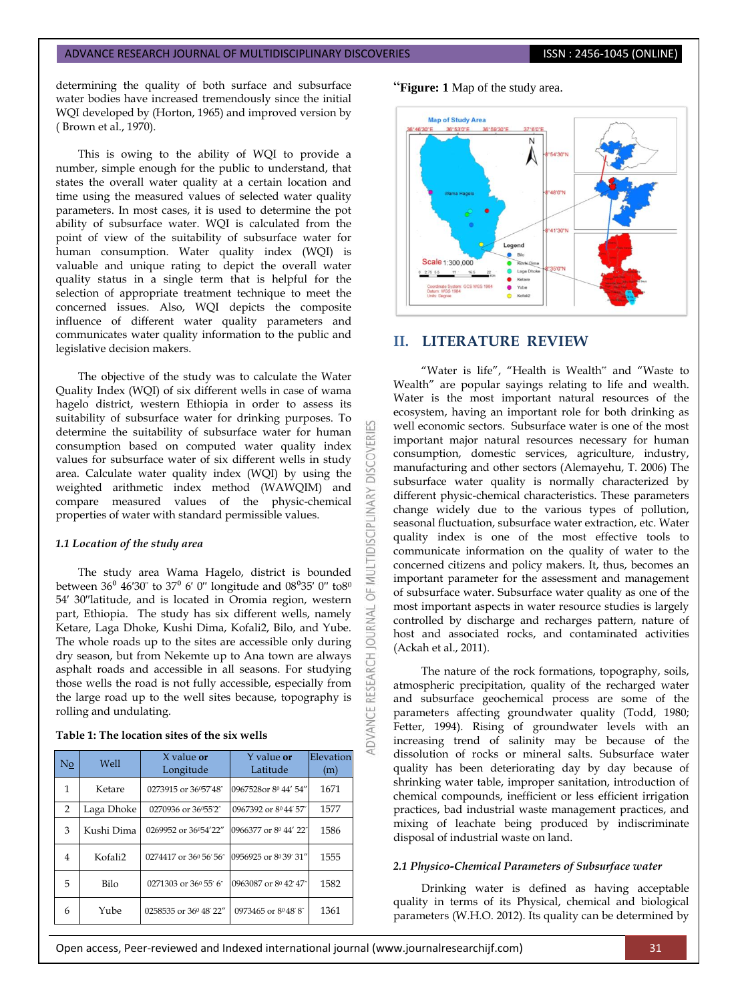determining the quality of both surface and subsurface water bodies have increased tremendously since the initial WQI developed by (Horton, 1965) and improved version by ( Brown et al., 1970).

This is owing to the ability of WQI to provide a number, simple enough for the public to understand, that states the overall water quality at a certain location and time using the measured values of selected water quality parameters. In most cases, it is used to determine the pot ability of subsurface water. WQI is calculated from the point of view of the suitability of subsurface water for human consumption. Water quality index (WQI) is valuable and unique rating to depict the overall water quality status in a single term that is helpful for the selection of appropriate treatment technique to meet the concerned issues. Also, WQI depicts the composite influence of different water quality parameters and communicates water quality information to the public and legislative decision makers.

The objective of the study was to calculate the Water Quality Index (WQI) of six different wells in case of wama hagelo district, western Ethiopia in order to assess its suitability of subsurface water for drinking purposes. To determine the suitability of subsurface water for human consumption based on computed water quality index values for subsurface water of six different wells in study area. Calculate water quality index (WQI) by using the weighted arithmetic index method (WAWQIM) and compare measured values of the physic-chemical properties of water with standard permissible values.

## *1.1 Location of the study area*

The study area Wama Hagelo, district is bounded between  $36^{\circ}$   $46'30'$  to  $37^{\circ}$  6' 0" longitude and  $08^{\circ}35'$  0" to  $8^{\circ}$ 54′ 30′′latitude, and is located in Oromia region, western part, Ethiopia. The study has six different wells, namely Ketare, Laga Dhoke, Kushi Dima, Kofali2, Bilo, and Yube. The whole roads up to the sites are accessible only during dry season, but from Nekemte up to Ana town are always asphalt roads and accessible in all seasons. For studying those wells the road is not fully accessible, especially from the large road up to the well sites because, topography is rolling and undulating.

## **Table 1: The location sites of the six wells**

| No | Well                | $X$ value or<br>Longitude          | Y value <b>or</b><br>Latitude | Elevation<br>(m) |
|----|---------------------|------------------------------------|-------------------------------|------------------|
| 1  | Ketare              | 0273915 or 36°57'48"               | 0967528or 8º 44' 54"          | 1671             |
| 2  | Laga Dhoke          | 0270936 or 36°55'2"                | 0967392 or 8044'57"           | 1577             |
| 3  | Kushi Dima          | 0269952 or 36°54'22"               | 0966377 or 8º 44' 22"         | 1586             |
| 4  | Kofali <sub>2</sub> | 0274417 or 36 <sup>0</sup> 56' 56" | 0956925 or 8039 31"           | 1555             |
| 5  | Bilo                | 0271303 or 36 <sup>0</sup> 55' 6"  | 0963087 or 8º 42' 47"         | 1582             |
| 6  | Yube                | 0258535 or 36 <sup>0</sup> 48' 22" | 0973465 or 8048'8"            | 1361             |

## "**Figure: 1** Map of the study area.



## **II. LITERATURE REVIEW**

**DISCOVERI** 

**IDISCIPLINARY** 

5F **JRNAL**  $\overline{0}$ 

**RESEARCH** 

"Water is life", "Health is Wealth" and "Waste to Wealth" are popular sayings relating to life and wealth. Water is the most important natural resources of the ecosystem, having an important role for both drinking as well economic sectors. Subsurface water is one of the most important major natural resources necessary for human consumption, domestic services, agriculture, industry, manufacturing and other sectors (Alemayehu, T. 2006) The subsurface water quality is normally characterized by different physic-chemical characteristics. These parameters change widely due to the various types of pollution, seasonal fluctuation, subsurface water extraction, etc. Water quality index is one of the most effective tools to communicate information on the quality of water to the concerned citizens and policy makers. It, thus, becomes an important parameter for the assessment and management of subsurface water. Subsurface water quality as one of the most important aspects in water resource studies is largely controlled by discharge and recharges pattern, nature of host and associated rocks, and contaminated activities (Ackah et al., 2011).

The nature of the rock formations, topography, soils, atmospheric precipitation, quality of the recharged water and subsurface geochemical process are some of the parameters affecting groundwater quality (Todd, 1980; Fetter, 1994). Rising of groundwater levels with an increasing trend of salinity may be because of the dissolution of rocks or mineral salts. Subsurface water quality has been deteriorating day by day because of shrinking water table, improper sanitation, introduction of chemical compounds, inefficient or less efficient irrigation practices, bad industrial waste management practices, and mixing of leachate being produced by indiscriminate disposal of industrial waste on land.

## *2.1 Physico-Chemical Parameters of Subsurface water*

Drinking water is defined as having acceptable quality in terms of its Physical, chemical and biological parameters (W.H.O. 2012). Its quality can be determined by

Open access, Peer-reviewed and Indexed international journal (www.journalresearchijf.com) 31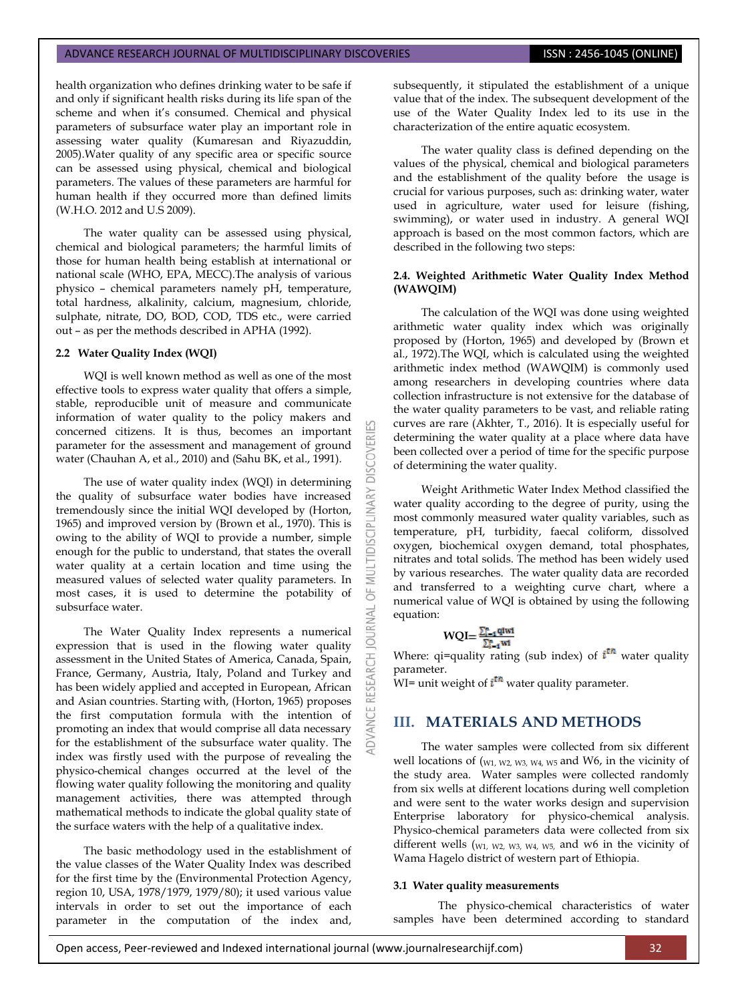health organization who defines drinking water to be safe if and only if significant health risks during its life span of the scheme and when it's consumed. Chemical and physical parameters of subsurface water play an important role in assessing water quality (Kumaresan and Riyazuddin, 2005).Water quality of any specific area or specific source can be assessed using physical, chemical and biological parameters. The values of these parameters are harmful for human health if they occurred more than defined limits (W.H.O. 2012 and U.S 2009).

The water quality can be assessed using physical, chemical and biological parameters; the harmful limits of those for human health being establish at international or national scale (WHO, EPA, MECC).The analysis of various physico – chemical parameters namely pH, temperature, total hardness, alkalinity, calcium, magnesium, chloride, sulphate, nitrate, DO, BOD, COD, TDS etc., were carried out – as per the methods described in APHA (1992).

## **2.2 Water Quality Index (WQI)**

WQI is well known method as well as one of the most effective tools to express water quality that offers a simple, stable, reproducible unit of measure and communicate information of water quality to the policy makers and concerned citizens. It is thus, becomes an important parameter for the assessment and management of ground water (Chauhan A, et al., 2010) and (Sahu BK, et al., 1991).

The use of water quality index (WQI) in determining the quality of subsurface water bodies have increased tremendously since the initial WQI developed by (Horton, 1965) and improved version by (Brown et al., 1970). This is owing to the ability of WQI to provide a number, simple enough for the public to understand, that states the overall water quality at a certain location and time using the measured values of selected water quality parameters. In most cases, it is used to determine the potability of subsurface water.

The Water Quality Index represents a numerical expression that is used in the flowing water quality assessment in the United States of America, Canada, Spain, France, Germany, Austria, Italy, Poland and Turkey and has been widely applied and accepted in European, African and Asian countries. Starting with, (Horton, 1965) proposes the first computation formula with the intention of promoting an index that would comprise all data necessary for the establishment of the subsurface water quality. The index was firstly used with the purpose of revealing the physico-chemical changes occurred at the level of the flowing water quality following the monitoring and quality management activities, there was attempted through mathematical methods to indicate the global quality state of the surface waters with the help of a qualitative index.

The basic methodology used in the establishment of the value classes of the Water Quality Index was described for the first time by the (Environmental Protection Agency, region 10, USA, 1978/1979, 1979/80); it used various value intervals in order to set out the importance of each parameter in the computation of the index and, subsequently, it stipulated the establishment of a unique value that of the index. The subsequent development of the use of the Water Quality Index led to its use in the characterization of the entire aquatic ecosystem.

The water quality class is defined depending on the values of the physical, chemical and biological parameters and the establishment of the quality before the usage is crucial for various purposes, such as: drinking water, water used in agriculture, water used for leisure (fishing, swimming), or water used in industry. A general WQI approach is based on the most common factors, which are described in the following two steps:

## **2.4. Weighted Arithmetic Water Quality Index Method (WAWQIM)**

The calculation of the WQI was done using weighted arithmetic water quality index which was originally proposed by (Horton, 1965) and developed by (Brown et al., 1972).The WQI, which is calculated using the weighted arithmetic index method (WAWQIM) is commonly used among researchers in developing countries where data collection infrastructure is not extensive for the database of the water quality parameters to be vast, and reliable rating curves are rare (Akhter, T., 2016). It is especially useful for determining the water quality at a place where data have been collected over a period of time for the specific purpose of determining the water quality.

Weight Arithmetic Water Index Method classified the water quality according to the degree of purity, using the most commonly measured water quality variables, such as temperature, pH, turbidity, faecal coliform, dissolved oxygen, biochemical oxygen demand, total phosphates, nitrates and total solids. The method has been widely used by various researches. The water quality data are recorded and transferred to a weighting curve chart, where a numerical value of WQI is obtained by using the following equation:

$$
WQI = \frac{\sum_{i=1}^{n} q_iwt}{\sum_{i=1}^{n} wt}
$$

**DISCOVERI** 

INARY

**DISCIPL** 

₹ 5

**IRNAL** jon Ŧ

Where: qi=quality rating (sub index) of  $i<sup>th</sup>$  water quality parameter.

WI= unit weight of  $i<sup>th</sup>$  water quality parameter.

# **III. MATERIALS AND METHODS**

The water samples were collected from six different well locations of (W1, W2, W3, W4, W5 and W6, in the vicinity of the study area. Water samples were collected randomly from six wells at different locations during well completion and were sent to the water works design and supervision Enterprise laboratory for physico-chemical analysis. Physico-chemical parameters data were collected from six different wells (W1, W2, W3, W4, W5, and w6 in the vicinity of Wama Hagelo district of western part of Ethiopia.

## **3.1 Water quality measurements**

The physico-chemical characteristics of water samples have been determined according to standard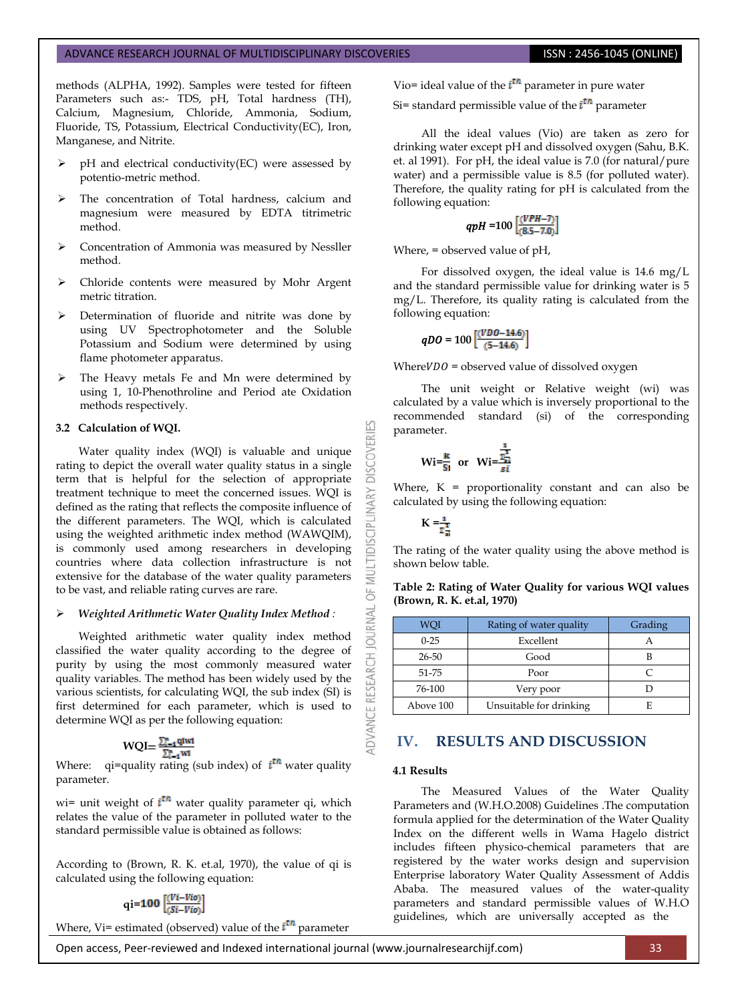methods (ALPHA, 1992). Samples were tested for fifteen Parameters such as:- TDS, pH, Total hardness (TH), Calcium, Magnesium, Chloride, Ammonia, Sodium, Fluoride, TS, Potassium, Electrical Conductivity(EC), Iron, Manganese, and Nitrite.

- pH and electrical conductivity(EC) were assessed by potentio-metric method.
- The concentration of Total hardness, calcium and magnesium were measured by EDTA titrimetric method.
- Concentration of Ammonia was measured by Nessller method.
- Chloride contents were measured by Mohr Argent metric titration.
- Determination of fluoride and nitrite was done by using UV Spectrophotometer and the Soluble Potassium and Sodium were determined by using flame photometer apparatus.
- The Heavy metals Fe and Mn were determined by using 1, 10-Phenothroline and Period ate Oxidation methods respectively.

## **3.2 Calculation of WQI.**

Water quality index (WQI) is valuable and unique rating to depict the overall water quality status in a single term that is helpful for the selection of appropriate treatment technique to meet the concerned issues. WQI is defined as the rating that reflects the composite influence of the different parameters. The WQI, which is calculated using the weighted arithmetic index method (WAWQIM), is commonly used among researchers in developing countries where data collection infrastructure is not extensive for the database of the water quality parameters to be vast, and reliable rating curves are rare.

## *Weighted Arithmetic Water Quality Index Method :*

Weighted arithmetic water quality index method classified the water quality according to the degree of purity by using the most commonly measured water quality variables. The method has been widely used by the various scientists, for calculating WQI, the sub index (SI) is first determined for each parameter, which is used to determine WQI as per the following equation:

$$
WQI = \frac{\sum_{i=1}^{n} qIwl}{\sum_{i=1}^{n} wI}
$$

Where: qi=quality rating (sub index) of  $i<sup>th</sup>$  water quality parameter.

wi= unit weight of  $i^{\text{th}}$  water quality parameter qi, which relates the value of the parameter in polluted water to the standard permissible value is obtained as follows:

According to (Brown, R. K. et.al, 1970), the value of qi is calculated using the following equation:

$$
qi=100\left[\frac{(Vi-Vio)}{(Si-Vio)}\right]
$$

Where, Vi= estimated (observed) value of the  $i<sup>th</sup>$  parameter

Vio= ideal value of the  $\mathbf{i}^{\text{th}}$  parameter in pure water

Si= standard permissible value of the  $i<sup>th</sup>$  parameter

All the ideal values (Vio) are taken as zero for drinking water except pH and dissolved oxygen (Sahu, B.K. et. al 1991). For pH, the ideal value is 7.0 (for natural/pure water) and a permissible value is 8.5 (for polluted water). Therefore, the quality rating for pH is calculated from the following equation:

$$
qpH=100\left[\frac{(VPH-7)}{(8.5-7.0)}\right]
$$

Where, = observed value of pH,

For dissolved oxygen, the ideal value is 14.6 mg/L and the standard permissible value for drinking water is 5 mg/L. Therefore, its quality rating is calculated from the following equation:

$$
qDO = 100 \left[ \frac{(VDO - 14.6)}{(5 - 14.6)} \right]
$$

Where  $VDO =$  observed value of dissolved oxygen

The unit weight or Relative weight (wi) was calculated by a value which is inversely proportional to the recommended standard (si) of the corresponding parameter.

$$
\text{Wi} = \frac{\text{K}}{\text{Si}} \quad \text{or} \quad \text{Wi} = \frac{\frac{1}{\sum_{i=1}^{n} x_i}}{\text{Si}}
$$

Where,  $K =$  proportionality constant and can also be calculated by using the following equation:

$$
K = \frac{1}{\Sigma_{\overline{n}}^2}
$$

K

**DISCOVERI** 

**IDISCIPLINARY** 

WU 5

DVANCE RESEARCH JOURNAL

The rating of the water quality using the above method is shown below table.

**Table 2: Rating of Water Quality for various WQI values (Brown, R. K. et.al, 1970)**

| WOI       | Rating of water quality | Grading |  |  |
|-----------|-------------------------|---------|--|--|
| $0 - 25$  | Excellent               |         |  |  |
| 26-50     | Good                    |         |  |  |
| 51-75     | Poor                    |         |  |  |
| 76-100    | Very poor               |         |  |  |
| Above 100 | Unsuitable for drinking |         |  |  |

## **IV. RESULTS AND DISCUSSION**

## **4.1 Results**

The Measured Values of the Water Quality Parameters and (W.H.O.2008) Guidelines .The computation formula applied for the determination of the Water Quality Index on the different wells in Wama Hagelo district includes fifteen physico-chemical parameters that are registered by the water works design and supervision Enterprise laboratory Water Quality Assessment of Addis Ababa. The measured values of the water-quality parameters and standard permissible values of W.H.O guidelines, which are universally accepted as the

Open access, Peer-reviewed and Indexed international journal (www.journalresearchijf.com) 33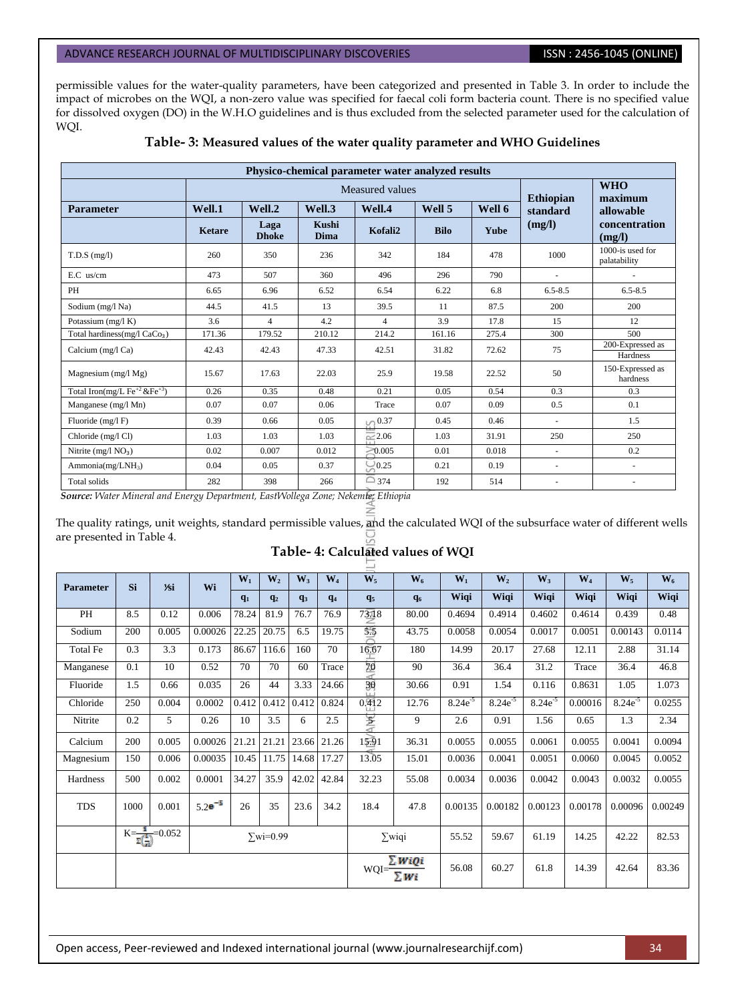permissible values for the water-quality parameters, have been categorized and presented in Table 3. In order to include the impact of microbes on the WQI, a non-zero value was specified for faecal coli form bacteria count. There is no specified value for dissolved oxygen (DO) in the W.H.O guidelines and is thus excluded from the selected parameter used for the calculation of WQI.

| Physico-chemical parameter water analyzed results     |               |                      |                  |                       |             |        |                          |                                      |  |  |  |
|-------------------------------------------------------|---------------|----------------------|------------------|-----------------------|-------------|--------|--------------------------|--------------------------------------|--|--|--|
|                                                       |               |                      | <b>Ethiopian</b> | <b>WHO</b><br>maximum |             |        |                          |                                      |  |  |  |
| <b>Parameter</b>                                      | Well.1        | Well.2               | Well.3           | Well.4                | Well 5      | Well 6 | standard                 | allowable<br>concentration<br>(mg/l) |  |  |  |
|                                                       | <b>Ketare</b> | Laga<br><b>Dhoke</b> | Kushi<br>Dima    | Kofali2               | <b>Bilo</b> | Yube   | (mg/l)                   |                                      |  |  |  |
| $T.D.S$ (mg/l)                                        | 260           | 350                  | 236              | 342                   | 184         | 478    | 1000                     | 1000-is used for<br>palatability     |  |  |  |
| $E.C$ us/cm                                           | 473           | 507                  | 360              | 496                   | 296         | 790    | ä,                       |                                      |  |  |  |
| <b>PH</b>                                             | 6.65          | 6.96                 | 6.52             | 6.54                  | 6.22        | 6.8    | $6.5 - 8.5$              | $6.5 - 8.5$                          |  |  |  |
| Sodium (mg/l Na)                                      | 44.5          | 41.5                 | 13               | 39.5                  | 11          | 87.5   | 200                      | 200                                  |  |  |  |
| Potassium (mg/l K)                                    | 3.6           | $\overline{4}$       | 4.2              | $\overline{4}$        | 3.9         | 17.8   | 15                       | 12                                   |  |  |  |
| Total hardiness (mg/l $CaCo3$ )                       | 171.36        | 179.52               | 210.12           | 214.2                 | 161.16      | 275.4  | 300                      | 500                                  |  |  |  |
| Calcium (mg/l Ca)                                     | 42.43         | 42.43                | 47.33            | 42.51                 | 31.82       | 72.62  | 75                       | 200-Expressed as<br>Hardness         |  |  |  |
| Magnesium $(mg/l Mg)$                                 | 15.67         | 17.63                | 22.03            | 25.9                  | 19.58       | 22.52  | 50                       | 150-Expressed as<br>hardness         |  |  |  |
| Total Iron(mg/L $\text{Fe}^{+2}$ & $\text{Fe}^{+3}$ ) | 0.26          | 0.35                 | 0.48             | 0.21                  | 0.05        | 0.54   | 0.3                      | 0.3                                  |  |  |  |
| Manganese (mg/l Mn)                                   | 0.07          | 0.07                 | 0.06             | Trace                 | 0.07        | 0.09   | 0.5                      | 0.1                                  |  |  |  |
| Fluoride $(mg/I)$ F)                                  | 0.39          | 0.66                 | 0.05             | $\cup_{0.37} 0.37$    | 0.45        | 0.46   | $\overline{\phantom{a}}$ | 1.5                                  |  |  |  |
| Chloride (mg/l Cl)                                    | 1.03          | 1.03                 | 1.03             | $\approx 2.06$        | 1.03        | 31.91  | 250                      | 250                                  |  |  |  |
| Nitrite (mg/l $NO3$ )                                 | 0.02          | 0.007                | 0.012            | $-0.005$              | 0.01        | 0.018  | ÷.                       | 0.2                                  |  |  |  |
| Ammonia( $mg/LNH_3$ )                                 | 0.04          | 0.05                 | 0.37             | 0.25                  | 0.21        | 0.19   | $\overline{\phantom{a}}$ | $\sim$                               |  |  |  |
| Total solids                                          | 282           | 398                  | 266              | $\Box$ 374            | 192         | 514    | $\overline{\phantom{a}}$ |                                      |  |  |  |

## **Table- 3: Measured values of the water quality parameter and WHO Guidelines**

 *Source: Water Mineral and Energy Department, EastWollega Zone; Nekemte; Ethiopia*

The quality ratings, unit weights, standard permissible values, and the calculated WQI of the subsurface water of different wells are presented in Table 4.

# **Table- 4: Calculated values of WQI**

| <b>Parameter</b> | Si                                                               | <b>1∕si</b> | Wi          | $W_1$ | W <sub>2</sub> | $W_3$                             | $W_4$         | $W_5$          | $W_6$ | $W_1$        | $W_2$        | $W_3$        | $W_4$   | $\mathbf{W}_5$ | $W_6$   |
|------------------|------------------------------------------------------------------|-------------|-------------|-------|----------------|-----------------------------------|---------------|----------------|-------|--------------|--------------|--------------|---------|----------------|---------|
|                  |                                                                  |             |             | $q_1$ | q <sub>2</sub> | q <sub>3</sub>                    | $q_4$         | q <sub>5</sub> | $q_6$ | Wiqi         | Wiqi         | Wiqi         | Wiqi    | Wiqi           | Wiqi    |
| PH               | 8.5                                                              | 0.12        | 0.006       | 78.24 | 81.9           | 76.7                              | 76.9          | 7318           | 80.00 | 0.4694       | 0.4914       | 0.4602       | 0.4614  | 0.439          | 0.48    |
| Sodium           | 200                                                              | 0.005       | 0.00026     | 22.25 | 20.75          | 6.5                               | 19.75         | 55             | 43.75 | 0.0058       | 0.0054       | 0.0017       | 0.0051  | 0.00143        | 0.0114  |
| <b>Total Fe</b>  | 0.3                                                              | 3.3         | 0.173       | 86.67 | 116.6          | 160                               | 70            | 16.67          | 180   | 14.99        | 20.17        | 27.68        | 12.11   | 2.88           | 31.14   |
| Manganese        | 0.1                                                              | 10          | 0.52        | 70    | 70             | 60                                | Trace         | 70             | 90    | 36.4         | 36.4         | 31.2         | Trace   | 36.4           | 46.8    |
| Fluoride         | 1.5                                                              | 0.66        | 0.035       | 26    | 44             | 3.33                              | 24.66         | 30             | 30.66 | 0.91         | 1.54         | 0.116        | 0.8631  | 1.05           | 1.073   |
| Chloride         | 250                                                              | 0.004       | 0.0002      | 0.412 | 0.412          | 0.412                             | 0.824         | 0.412          | 12.76 | $8.24e^{-5}$ | $8.24e^{-5}$ | $8.24e^{-5}$ | 0.00016 | $8.24e^{-5}$   | 0.0255  |
| Nitrite          | 0.2                                                              | 5           | 0.26        | 10    | 3.5            | 6                                 | 2.5           | 圣              | 9     | 2.6          | 0.91         | 1.56         | 0.65    | 1.3            | 2.34    |
| Calcium          | 200                                                              | 0.005       | 0.00026     | 21.21 | 21.21          | 23.66                             | 21.26         | 15.91          | 36.31 | 0.0055       | 0.0055       | 0.0061       | 0.0055  | 0.0041         | 0.0094  |
| Magnesium        | 150                                                              | 0.006       | 0.00035     | 10.45 | 11.75          | 14.68                             | 17.27         | 13.05          | 15.01 | 0.0036       | 0.0041       | 0.0051       | 0.0060  | 0.0045         | 0.0052  |
| Hardness         | 500                                                              | 0.002       | 0.0001      | 34.27 | 35.9           | 42.02                             | 42.84         | 32.23          | 55.08 | 0.0034       | 0.0036       | 0.0042       | 0.0043  | 0.0032         | 0.0055  |
| <b>TDS</b>       | 1000                                                             | 0.001       | $5.2e^{-5}$ | 26    | 35             | 23.6                              | 34.2          | 18.4           | 47.8  | 0.00135      | 0.00182      | 0.00123      | 0.00178 | 0.00096        | 0.00249 |
|                  | $K = \frac{1}{\sum_{i=1}^{4} } = 0.052$<br>$\sum \text{wi}=0.99$ |             |             |       |                |                                   | $\Sigma$ wiqi |                | 55.52 | 59.67        | 61.19        | 14.25        | 42.22   | 82.53          |         |
|                  |                                                                  |             |             |       |                | $WQI = \frac{\sum W_i}{\sum W_i}$ | ∑ WiQi        | 56.08          | 60.27 | 61.8         | 14.39        | 42.64        | 83.36   |                |         |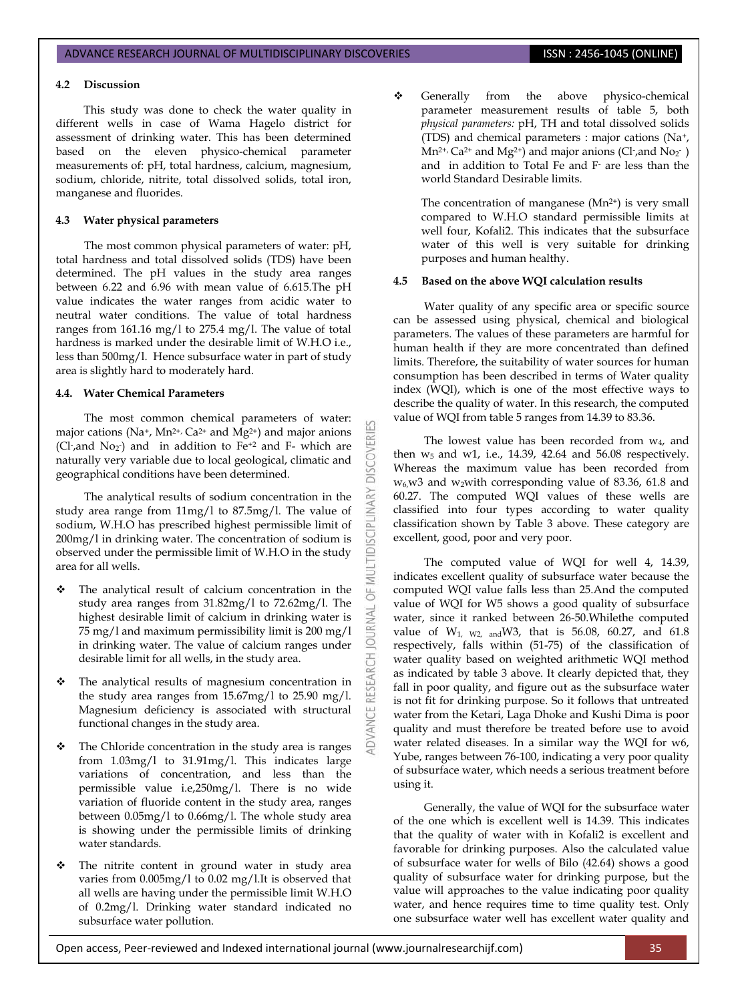## **4.2 Discussion**

This study was done to check the water quality in different wells in case of Wama Hagelo district for assessment of drinking water. This has been determined based on the eleven physico-chemical parameter measurements of: pH, total hardness, calcium, magnesium, sodium, chloride, nitrite, total dissolved solids, total iron, manganese and fluorides.

## **4.3 Water physical parameters**

The most common physical parameters of water: pH, total hardness and total dissolved solids (TDS) have been determined. The pH values in the study area ranges between 6.22 and 6.96 with mean value of 6.615.The pH value indicates the water ranges from acidic water to neutral water conditions. The value of total hardness ranges from 161.16 mg/l to 275.4 mg/l. The value of total hardness is marked under the desirable limit of W.H.O i.e., less than 500mg/l. Hence subsurface water in part of study area is slightly hard to moderately hard.

## **4.4. Water Chemical Parameters**

The most common chemical parameters of water: major cations ( $Na^{+}$ ,  $Mn^{2+}$ ,  $Ca^{2+}$  and  $Mg^{2+}$ ) and major anions (Cl-, and No<sub>2</sub>) and in addition to  $Fe<sup>+2</sup>$  and F- which are naturally very variable due to local geological, climatic and geographical conditions have been determined.

**DISCOVERI** 

INARY

**IDISCIPL** 

5

**JRNAL** ā

The analytical results of sodium concentration in the study area range from 11mg/l to 87.5mg/l. The value of sodium, W.H.O has prescribed highest permissible limit of 200mg/l in drinking water. The concentration of sodium is observed under the permissible limit of W.H.O in the study area for all wells.

- The analytical result of calcium concentration in the study area ranges from 31.82mg/l to 72.62mg/l. The highest desirable limit of calcium in drinking water is 75 mg/l and maximum permissibility limit is 200 mg/l in drinking water. The value of calcium ranges under desirable limit for all wells, in the study area.
- The analytical results of magnesium concentration in the study area ranges from 15.67mg/l to 25.90 mg/l. Magnesium deficiency is associated with structural functional changes in the study area.
- \* The Chloride concentration in the study area is ranges from 1.03mg/l to 31.91mg/l. This indicates large variations of concentration, and less than the permissible value i.e,250mg/l. There is no wide variation of fluoride content in the study area, ranges between 0.05mg/l to 0.66mg/l. The whole study area is showing under the permissible limits of drinking water standards.
- The nitrite content in ground water in study area varies from 0.005mg/l to 0.02 mg/l.It is observed that all wells are having under the permissible limit W.H.O of 0.2mg/l. Drinking water standard indicated no subsurface water pollution.

Generally from the above physico-chemical parameter measurement results of table 5, both *physical parameters:* pH, TH and total dissolved solids (TDS) and chemical parameters : major cations (Na+,  $Mn^{2+}$ , Ca<sup>2+</sup> and Mg<sup>2+</sup>) and major anions (Cl-, and No<sub>2</sub>-) and in addition to Total Fe and F- are less than the world Standard Desirable limits.

The concentration of manganese  $(Mn^{2+})$  is very small compared to W.H.O standard permissible limits at well four, Kofali2. This indicates that the subsurface water of this well is very suitable for drinking purposes and human healthy.

## **4.5 Based on the above WQI calculation results**

Water quality of any specific area or specific source can be assessed using physical, chemical and biological parameters. The values of these parameters are harmful for human health if they are more concentrated than defined limits. Therefore, the suitability of water sources for human consumption has been described in terms of Water quality index (WQI), which is one of the most effective ways to describe the quality of water. In this research, the computed value of WQI from table 5 ranges from 14.39 to 83.36.

The lowest value has been recorded from  $w_4$ , and then  $w_5$  and w1, i.e., 14.39, 42.64 and 56.08 respectively. Whereas the maximum value has been recorded from  $w_6$ , w3 and w<sub>2</sub>with corresponding value of 83.36, 61.8 and 60.27. The computed WQI values of these wells are classified into four types according to water quality classification shown by Table 3 above. These category are excellent, good, poor and very poor.

The computed value of WQI for well 4, 14.39, indicates excellent quality of subsurface water because the computed WQI value falls less than 25.And the computed value of WQI for W5 shows a good quality of subsurface water, since it ranked between 26-50.Whilethe computed value of W1, W2, andW3, that is 56.08, 60.27, and 61.8 respectively, falls within (51-75) of the classification of water quality based on weighted arithmetic WQI method as indicated by table 3 above. It clearly depicted that, they fall in poor quality, and figure out as the subsurface water is not fit for drinking purpose. So it follows that untreated water from the Ketari, Laga Dhoke and Kushi Dima is poor quality and must therefore be treated before use to avoid water related diseases. In a similar way the WQI for w6, Yube, ranges between 76-100, indicating a very poor quality of subsurface water, which needs a serious treatment before using it.

Generally, the value of WQI for the subsurface water of the one which is excellent well is 14.39. This indicates that the quality of water with in Kofali2 is excellent and favorable for drinking purposes. Also the calculated value of subsurface water for wells of Bilo (42.64) shows a good quality of subsurface water for drinking purpose, but the value will approaches to the value indicating poor quality water, and hence requires time to time quality test. Only one subsurface water well has excellent water quality and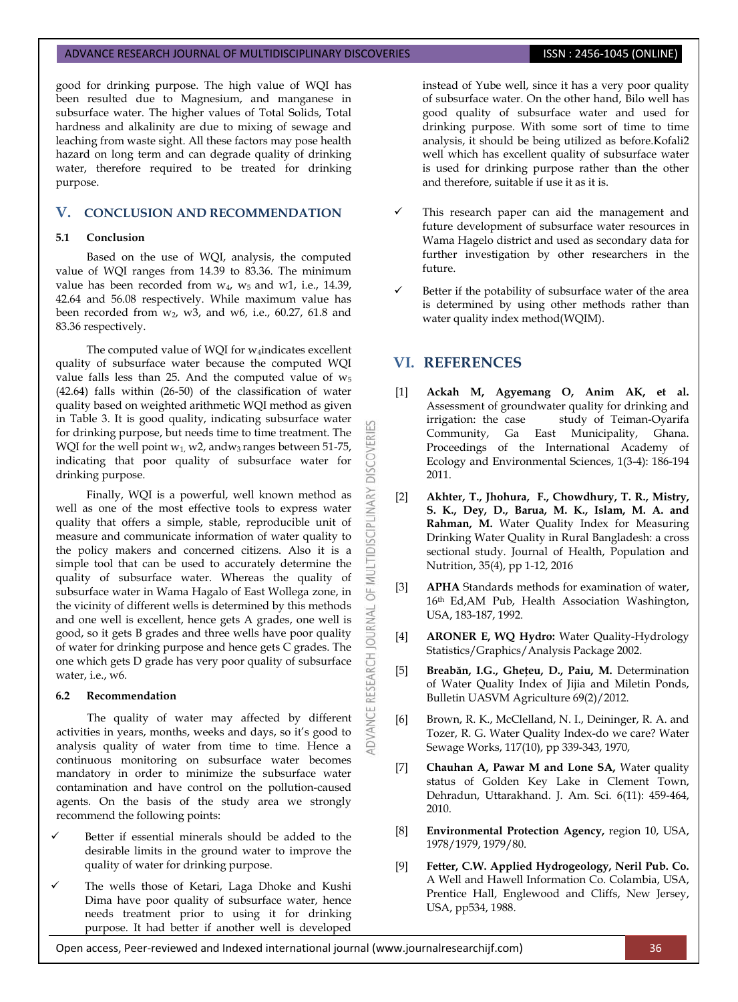good for drinking purpose. The high value of WQI has been resulted due to Magnesium, and manganese in subsurface water. The higher values of Total Solids, Total hardness and alkalinity are due to mixing of sewage and leaching from waste sight. All these factors may pose health hazard on long term and can degrade quality of drinking water, therefore required to be treated for drinking purpose.

# **V. CONCLUSION AND RECOMMENDATION**

## **5.1 Conclusion**

Based on the use of WQI, analysis, the computed value of WQI ranges from 14.39 to 83.36. The minimum value has been recorded from  $w_4$ ,  $w_5$  and w1, i.e., 14.39, 42.64 and 56.08 respectively. While maximum value has been recorded from  $w_2$ ,  $w_3$ , and  $w_6$ , i.e., 60.27, 61.8 and 83.36 respectively.

The computed value of WQI for  $w_4$ indicates excellent quality of subsurface water because the computed WQI value falls less than 25. And the computed value of  $w_5$ (42.64) falls within (26-50) of the classification of water quality based on weighted arithmetic WQI method as given in Table 3. It is good quality, indicating subsurface water for drinking purpose, but needs time to time treatment. The WQI for the well point  $w_1$ , w2, and  $w_3$  ranges between 51-75, indicating that poor quality of subsurface water for drinking purpose.

Finally, WQI is a powerful, well known method as well as one of the most effective tools to express water quality that offers a simple, stable, reproducible unit of measure and communicate information of water quality to the policy makers and concerned citizens. Also it is a simple tool that can be used to accurately determine the quality of subsurface water. Whereas the quality of subsurface water in Wama Hagalo of East Wollega zone, in the vicinity of different wells is determined by this methods and one well is excellent, hence gets A grades, one well is good, so it gets B grades and three wells have poor quality of water for drinking purpose and hence gets C grades. The one which gets D grade has very poor quality of subsurface water, i.e., w6.

## **6.2 Recommendation**

The quality of water may affected by different activities in years, months, weeks and days, so it's good to analysis quality of water from time to time. Hence a continuous monitoring on subsurface water becomes mandatory in order to minimize the subsurface water contamination and have control on the pollution-caused agents. On the basis of the study area we strongly recommend the following points:

- Better if essential minerals should be added to the desirable limits in the ground water to improve the quality of water for drinking purpose.
- The wells those of Ketari, Laga Dhoke and Kushi Dima have poor quality of subsurface water, hence needs treatment prior to using it for drinking purpose. It had better if another well is developed

instead of Yube well, since it has a very poor quality of subsurface water. On the other hand, Bilo well has good quality of subsurface water and used for drinking purpose. With some sort of time to time analysis, it should be being utilized as before.Kofali2 well which has excellent quality of subsurface water is used for drinking purpose rather than the other and therefore, suitable if use it as it is.

- This research paper can aid the management and future development of subsurface water resources in Wama Hagelo district and used as secondary data for further investigation by other researchers in the future.
- Better if the potability of subsurface water of the area is determined by using other methods rather than water quality index method(WQIM).

## **VI. REFERENCES**

**DISCOVERI** 

**ILTIDISCIPLINARY** 

WU 5

**NDVANCE RESEARCH JOURNAL** 

- [1] **Ackah M, Agyemang O, Anim AK, et al.**  Assessment of groundwater quality for drinking and irrigation: the case study of Teiman-Oyarifa Community, Ga East Municipality, Ghana. Proceedings of the International Academy of Ecology and Environmental Sciences, 1(3-4): 186-194 2011.
- [2] **Akhter, T., Jhohura, F., Chowdhury, T. R., Mistry, S. K., Dey, D., Barua, M. K., Islam, M. A. and Rahman, M.** Water Quality Index for Measuring Drinking Water Quality in Rural Bangladesh: a cross sectional study. Journal of Health, Population and Nutrition, 35(4), pp 1-12, 2016
- [3] **APHA** Standards methods for examination of water, 16th Ed,AM Pub, Health Association Washington, USA, 183-187, 1992.
- [4] **ARONER E, WQ Hydro:** Water Quality-Hydrology Statistics/Graphics/Analysis Package 2002.
- [5] **Breabăn, I.G., Gheţeu, D., Paiu, M.** Determination of Water Quality Index of Jijia and Miletin Ponds, Bulletin UASVM Agriculture 69(2)/2012.
- [6] Brown, R. K., McClelland, N. I., Deininger, R. A. and Tozer, R. G. Water Quality Index-do we care? Water Sewage Works, 117(10), pp 339-343, 1970,
- [7] **Chauhan A, Pawar M and Lone SA,** Water quality status of Golden Key Lake in Clement Town, Dehradun, Uttarakhand. J. Am. Sci. 6(11): 459-464, 2010.
- [8] **Environmental Protection Agency,** region 10, USA, 1978/1979, 1979/80.
- [9] **Fetter, C.W. Applied Hydrogeology, Neril Pub. Co.** A Well and Hawell Information Co. Colambia, USA, Prentice Hall, Englewood and Cliffs, New Jersey, USA, pp534, 1988.

Open access, Peer-reviewed and Indexed international journal (www.journalresearchijf.com) 36